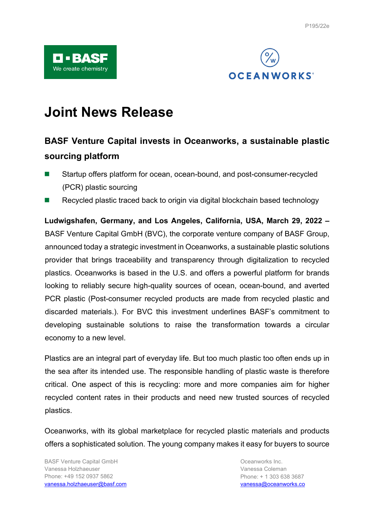

# **Joint News Release**

# **BASF Venture Capital invests in Oceanworks, a sustainable plastic sourcing platform**

- Startup offers platform for ocean, ocean-bound, and post-consumer-recycled (PCR) plastic sourcing
- Recycled plastic traced back to origin via digital blockchain based technology

**Ludwigshafen, Germany, and Los Angeles, California, USA, March 29, 2022 –** BASF Venture Capital GmbH (BVC), the corporate venture company of BASF Group, announced today a strategic investment in Oceanworks, a sustainable plastic solutions provider that brings traceability and transparency through digitalization to recycled plastics. Oceanworks is based in the U.S. and offers a powerful platform for brands looking to reliably secure high-quality sources of ocean, ocean-bound, and averted PCR plastic (Post-consumer recycled products are made from recycled plastic and discarded materials.). For BVC this investment underlines BASF's commitment to developing sustainable solutions to raise the transformation towards a circular economy to a new level.

Plastics are an integral part of everyday life. But too much plastic too often ends up in the sea after its intended use. The responsible handling of plastic waste is therefore critical. One aspect of this is recycling: more and more companies aim for higher recycled content rates in their products and need new trusted sources of recycled plastics.

Oceanworks, with its global marketplace for recycled plastic materials and products offers a sophisticated solution. The young company makes it easy for buyers to source

BASF Venture Capital GmbH Vanessa Holzhaeuser Phone: +49 152 0937 5862 [vanessa.holzhaeuser@basf.com](mailto:vanessa.holzhaeuser@basf.com)

Oceanworks Inc. Vanessa Coleman Phone: + 1 303 638 3687 [vanessa@oceanworks.co](mailto:vanessa@oceanworks.co)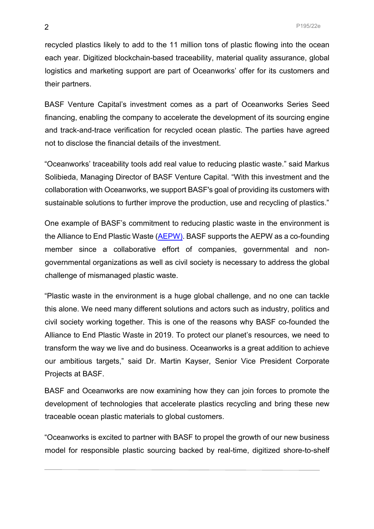recycled plastics likely to add to the 11 million tons of plastic flowing into the ocean each year. Digitized blockchain-based traceability, material quality assurance, global logistics and marketing support are part of Oceanworks' offer for its customers and their partners.

BASF Venture Capital's investment comes as a part of Oceanworks Series Seed financing, enabling the company to accelerate the development of its sourcing engine and track-and-trace verification for recycled ocean plastic. The parties have agreed not to disclose the financial details of the investment.

"Oceanworks' traceability tools add real value to reducing plastic waste." said Markus Solibieda, Managing Director of BASF Venture Capital. "With this investment and the collaboration with Oceanworks, we support BASF's goal of providing its customers with sustainable solutions to further improve the production, use and recycling of plastics."

One example of BASF's commitment to reducing plastic waste in the environment is the Alliance to End Plastic Waste [\(AEPW\).](https://www.basf.com/global/en/who-we-are/sustainability/we-produce-safely-and-efficiently/environmental-protection/resources-and-ecosystems/engagement-against-plastic-waste/Alliance-to-end-plastic-waste.html) BASF supports the AEPW as a co-founding member since a collaborative effort of companies, governmental and nongovernmental organizations as well as civil society is necessary to address the global challenge of mismanaged plastic waste.

"Plastic waste in the environment is a huge global challenge, and no one can tackle this alone. We need many different solutions and actors such as industry, politics and civil society working together. This is one of the reasons why BASF co-founded the Alliance to End Plastic Waste in 2019. To protect our planet's resources, we need to transform the way we live and do business. Oceanworks is a great addition to achieve our ambitious targets," said Dr. Martin Kayser, Senior Vice President Corporate Projects at BASF.

BASF and Oceanworks are now examining how they can join forces to promote the development of technologies that accelerate plastics recycling and bring these new traceable ocean plastic materials to global customers.

"Oceanworks is excited to partner with BASF to propel the growth of our new business model for responsible plastic sourcing backed by real-time, digitized shore-to-shelf